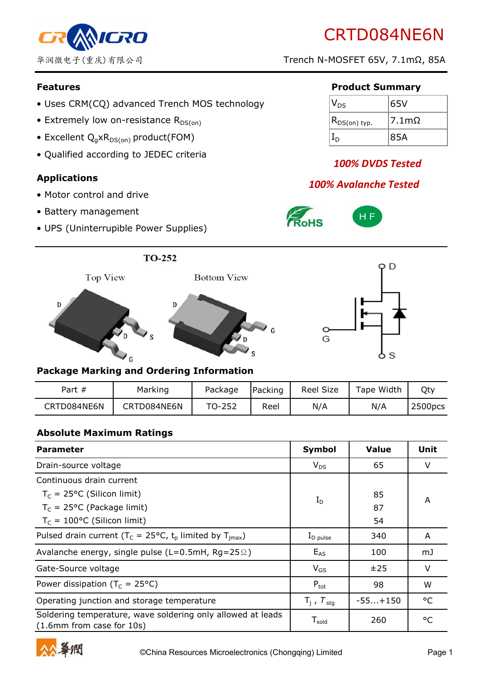

- Uses CRM(CQ) advanced Trench MOS technology
- Extremely low on-resistance  $R_{DS(on)}$
- Excellent  $Q_q \times R_{DS(on)}$  product(FOM)
- Qualified according to JEDEC criteria

#### **Applications**

- Motor control and drive
- Battery management
- UPS (Uninterrupible Power Supplies)

#### **Features Product Summary**

| $V_{DS}$               | 65V              |
|------------------------|------------------|
| $(R_{DS(on) \; typ.})$ | 7.1 <sub>m</sub> |
|                        | 85A              |

# *100% DVDS Tested*

# *100% Avalanche Tested*







#### **Package Marking and Ordering Information**

| Part $#$    | Marking     | Package | Packing | <b>Reel Size</b> | Tape Width | Qty     |
|-------------|-------------|---------|---------|------------------|------------|---------|
| CRTD084NE6N | CRTD084NE6N | TO-252  | Reel    | N/A              | N/A        | 2500pcs |

#### **Absolute Maximum Ratings**

| <b>Parameter</b>                                                                         | Symbol                        | <b>Value</b> | Unit         |
|------------------------------------------------------------------------------------------|-------------------------------|--------------|--------------|
| Drain-source voltage                                                                     | $V_{DS}$                      | 65           | V            |
| Continuous drain current                                                                 |                               |              | A            |
| $T_c = 25$ °C (Silicon limit)                                                            | $I_D$                         | 85           |              |
| $T_c = 25$ °C (Package limit)                                                            |                               | 87           |              |
| $T_c = 100$ °C (Silicon limit)                                                           |                               | 54           |              |
| Pulsed drain current ( $T_c = 25^{\circ}C$ , $t_p$ limited by $T_{imax}$ )               | $I_{\text{D pulse}}$          | 340          | A            |
| Avalanche energy, single pulse (L=0.5mH, Rg=25 $\Omega$ )                                | $E_{AS}$                      | 100          | mJ           |
| Gate-Source voltage                                                                      | $V_{GS}$                      | ±25          | V            |
| Power dissipation ( $T_c = 25^{\circ}C$ )                                                | $P_{\text{tot}}$              | 98           | W            |
| Operating junction and storage temperature                                               | $T_i$ , $T_{\text{stg}}$      | $-55+150$    | °C           |
| Soldering temperature, wave soldering only allowed at leads<br>(1.6mm from case for 10s) | ${\mathsf T}_{\mathsf{gold}}$ | 260          | $^{\circ}$ C |

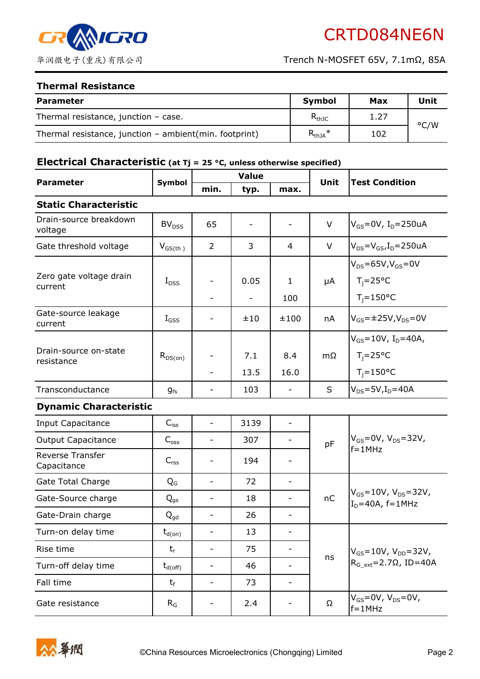

#### **Thermal Resistance**

| <b>Parameter</b>                                         | <b>Symbol</b> | Max  | Unit          |
|----------------------------------------------------------|---------------|------|---------------|
| Thermal resistance, junction $-$ case.                   | $R_{thJC}$    | 1.27 | $\degree$ C/W |
| Thermal resistance, junction $-$ ambient(min. footprint) | $R_{thJA}$ *  | 102  |               |

# **Electrical Characteristic (at Tj = 25 °C, unless otherwise specified)**

| <b>Parameter</b>                    | Symbol                   | <b>Value</b>             |                           |                          | Unit | <b>Test Condition</b>                                                           |
|-------------------------------------|--------------------------|--------------------------|---------------------------|--------------------------|------|---------------------------------------------------------------------------------|
|                                     |                          | min.                     | typ.                      | max.                     |      |                                                                                 |
| <b>Static Characteristic</b>        |                          |                          |                           |                          |      |                                                                                 |
| Drain-source breakdown<br>voltage   | BV <sub>DSS</sub>        | 65                       | $\overline{\phantom{a}}$  | $\overline{\phantom{a}}$ | V    | $V_{GS} = 0V$ , I <sub>D</sub> =250uA                                           |
| Gate threshold voltage              | $V_{GS(th)}$             | $\overline{2}$           | 3                         | 4                        | V    | $V_{DS} = V_{GS}$ , I <sub>D</sub> =250uA                                       |
| Zero gate voltage drain<br>current  | $I_{DSS}$                |                          | 0.05<br>$\qquad \qquad -$ | $\mathbf{1}$<br>100      | μA   | $V_{DS} = 65V$ , $V_{GS} = 0V$<br>$T_i = 25^{\circ}C$<br>$T_i = 150$ °C         |
| Gate-source leakage<br>current      | $I_{GSS}$                | -                        | ±10                       | ±100                     | nA   | $V_{GS} = \pm 25V, V_{DS} = 0V$                                                 |
| Drain-source on-state<br>resistance | $R_{DS(on)}$             |                          | 7.1<br>13.5               | 8.4<br>16.0              | mΩ   | $V_{GS} = 10V$ , I <sub>D</sub> =40A,<br>$T_i = 25^{\circ}C$<br>$T_i = 150$ °C  |
| Transconductance                    | $g_{fs}$                 | $\overline{\phantom{0}}$ | 103                       | $\overline{\phantom{a}}$ | S    | $V_{DS} = 5V$ , $I_D = 40A$                                                     |
| <b>Dynamic Characteristic</b>       |                          |                          |                           |                          |      |                                                                                 |
| <b>Input Capacitance</b>            | $C_{\mathsf{iss}}$       | $\blacksquare$           | 3139                      | $\overline{\phantom{a}}$ |      | $V_{GS} = 0V$ , $V_{DS} = 32V$ ,<br>$f = 1$ MHz                                 |
| <b>Output Capacitance</b>           | $C_{\rm oss}$            | $\overline{\phantom{0}}$ | 307                       | $\overline{\phantom{a}}$ | pF   |                                                                                 |
| Reverse Transfer<br>Capacitance     | $C_{rss}$                |                          | 194                       |                          |      |                                                                                 |
| Gate Total Charge                   | $Q_{G}$                  | $\overline{\phantom{0}}$ | 72                        | $\overline{\phantom{a}}$ |      | $V_{GS} = 10V$ , $V_{DS} = 32V$ ,<br>$ID=40A$ , f=1MHz                          |
| Gate-Source charge                  | $Q_{gs}$                 | $\overline{\phantom{0}}$ | 18                        | $\overline{\phantom{a}}$ | nC   |                                                                                 |
| Gate-Drain charge                   | $\mathbf{Q}_{\text{gd}}$ | $\overline{\phantom{0}}$ | 26                        | -                        |      |                                                                                 |
| Turn-on delay time                  | $t_{d(on)}$              |                          | 13                        |                          |      | $V_{GS} = 10V$ , $V_{DD} = 32V$ ,<br>$RG$ <sub>ext</sub> =2.7 $\Omega$ , ID=40A |
| Rise time                           | $t_{r}$                  | $\overline{\phantom{0}}$ | 75                        | $\overline{\phantom{a}}$ | ns   |                                                                                 |
| Turn-off delay time                 | $t_{d(off)}$             | -                        | 46                        | $\overline{\phantom{0}}$ |      |                                                                                 |
| Fall time                           | $t_{\rm f}$              | $\overline{\phantom{0}}$ | 73                        | $\overline{\phantom{a}}$ |      |                                                                                 |
| Gate resistance                     | $R_G$                    |                          | 2.4                       | -                        | Ω    | $V_{GS}$ =0V, $V_{DS}$ =0V,<br>$f = 1MHz$                                       |

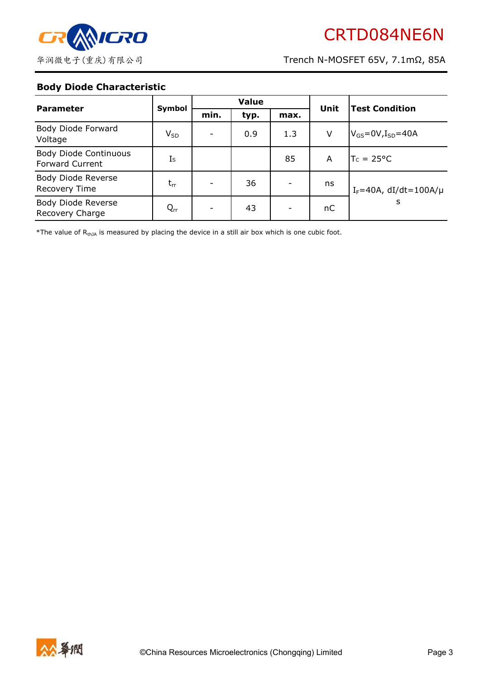

#### **Body Diode Characteristic**

| <b>Parameter</b>                                       | Symbol         | <b>Value</b> |      |      |      |                                 |
|--------------------------------------------------------|----------------|--------------|------|------|------|---------------------------------|
|                                                        |                | min.         | typ. | max. | Unit | <b>Test Condition</b>           |
| Body Diode Forward<br>Voltage                          | $V_{SD}$       |              | 0.9  | 1.3  | V    | $V_{GS}$ =0V, $I_{SD}$ =40A     |
| <b>Body Diode Continuous</b><br><b>Forward Current</b> | I <sub>S</sub> |              |      | 85   | A    | $T_c = 25^{\circ}C$             |
| Body Diode Reverse<br><b>Recovery Time</b>             | $t_{rr}$       |              | 36   |      | ns   | $I_F = 40A$ , dI/dt=100A/ $\mu$ |
| Body Diode Reverse<br>Recovery Charge                  | $Q_{rr}$       |              | 43   | -    | пC   | S                               |

\*The value of  $R_{thJA}$  is measured by placing the device in a still air box which is one cubic foot.

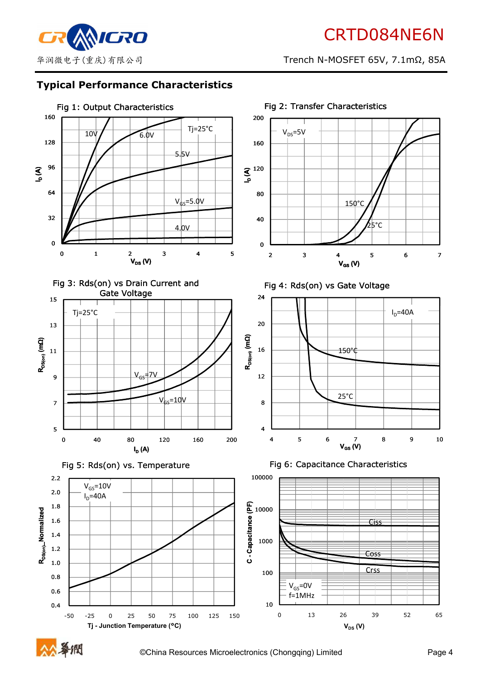

#### **Typical Performance Characteristics**



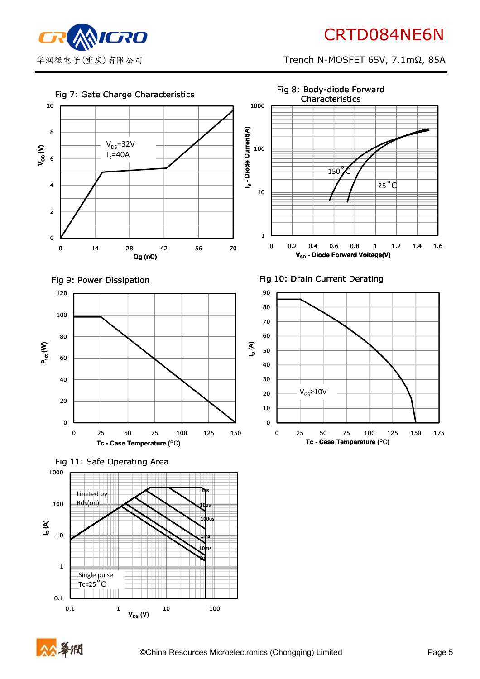

# CRTD084NE6N

华润微电子(重庆)有限公司 Trench N-MOSFET 65V, 7.1mΩ, 85A

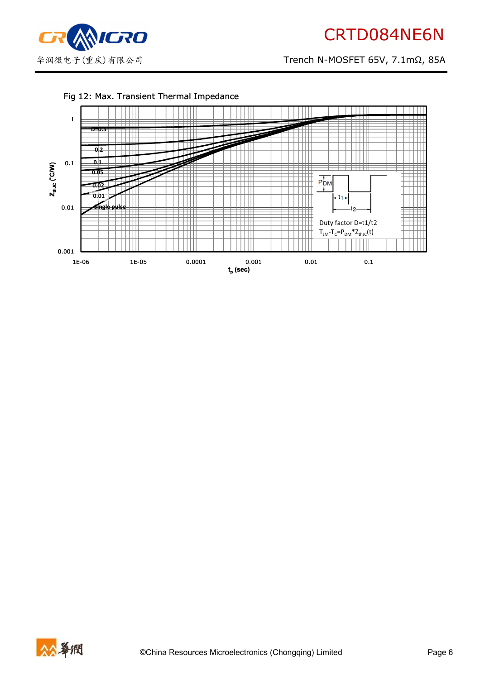

#### Fig 12: Max. Transient Thermal Impedance



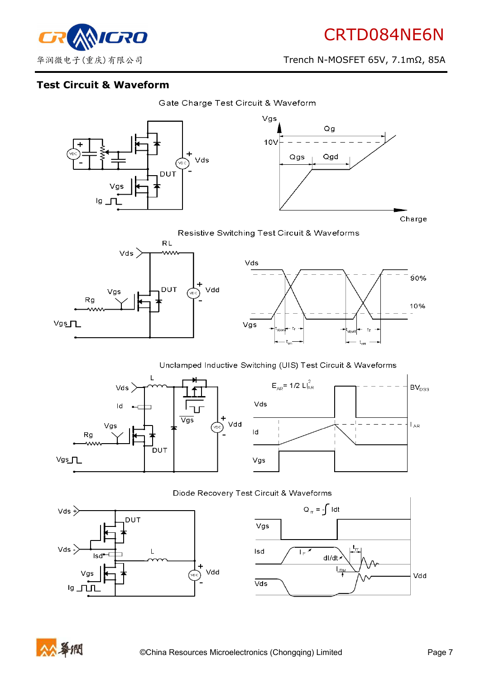

90%

10%

NIGRO

华润微电子(重庆)有限公司 Trench N-MOSFET 65V, 7.1mΩ, 85A

#### **Test Circuit & Waveform**





Resistive Switching Test Circuit & Waveforms



#### Unclamped Inductive Switching (UIS) Test Circuit & Waveforms









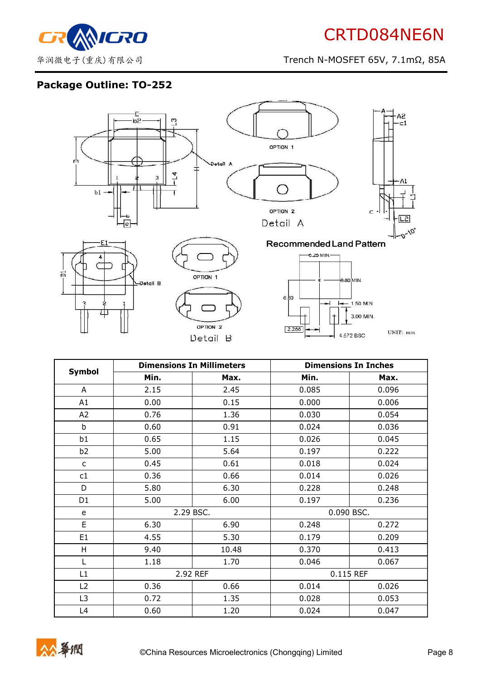

# **Package Outline: TO-252**



|                | <b>Dimensions In Millimeters</b> |       | <b>Dimensions In Inches</b> |           |  |
|----------------|----------------------------------|-------|-----------------------------|-----------|--|
| <b>Symbol</b>  | Min.                             | Max.  |                             | Max.      |  |
| A              | 2.15                             | 2.45  | 0.085                       | 0.096     |  |
| A1             | 0.00                             | 0.15  | 0.000                       | 0.006     |  |
| A2             | 0.76                             | 1.36  | 0.030                       | 0.054     |  |
| b              | 0.60                             | 0.91  | 0.024                       | 0.036     |  |
| b1             | 0.65                             | 1.15  | 0.026                       | 0.045     |  |
| b <sub>2</sub> | 5.00                             | 5.64  | 0.197                       | 0.222     |  |
| $\mathsf{C}$   | 0.45                             | 0.61  | 0.018                       | 0.024     |  |
| c1             | 0.36                             | 0.66  | 0.014                       | 0.026     |  |
| D              | 5.80                             | 6.30  | 0.228                       | 0.248     |  |
| D <sub>1</sub> | 5.00                             | 6.00  | 0.197                       | 0.236     |  |
| e              | 2.29 BSC.                        |       | 0.090 BSC.                  |           |  |
| E              | 6.30                             | 6.90  | 0.248                       | 0.272     |  |
| E <sub>1</sub> | 4.55                             | 5.30  | 0.179                       | 0.209     |  |
| H              | 9.40                             | 10.48 | 0.370                       | 0.413     |  |
| L              | 1.18                             | 1.70  | 0.046                       | 0.067     |  |
| L1             | 2.92 REF                         |       |                             | 0.115 REF |  |
| L2             | 0.36                             | 0.66  | 0.014                       | 0.026     |  |
| L <sub>3</sub> | 0.72                             | 1.35  | 0.028                       | 0.053     |  |
| L4             | 0.60                             | 1.20  | 0.024                       | 0.047     |  |